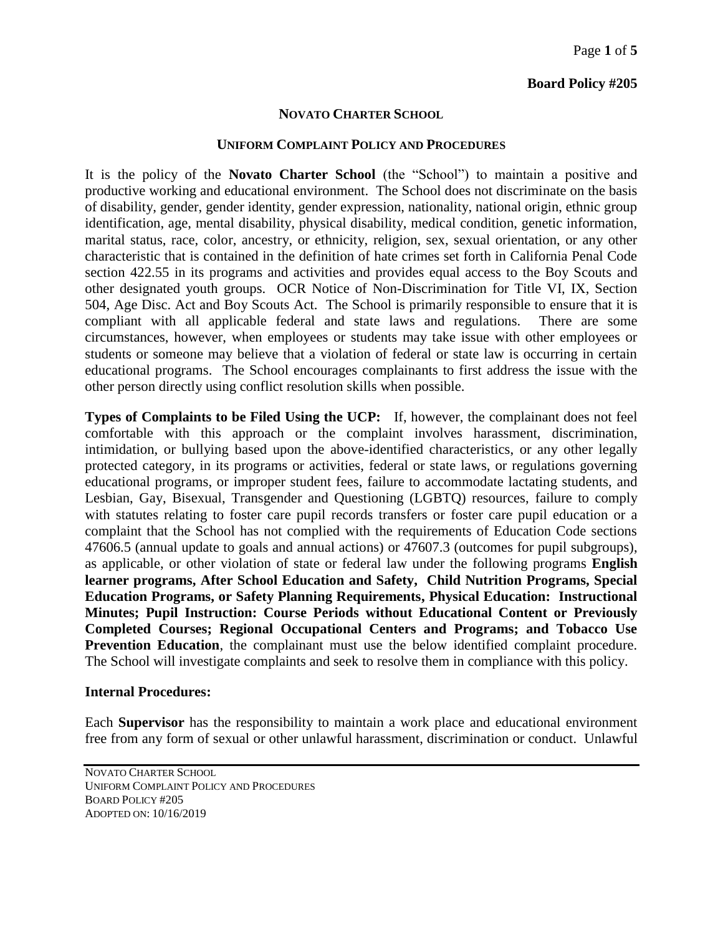### **Board Policy #205**

#### **NOVATO CHARTER SCHOOL**

#### **UNIFORM COMPLAINT POLICY AND PROCEDURES**

It is the policy of the **Novato Charter School** (the "School") to maintain a positive and productive working and educational environment. The School does not discriminate on the basis of disability, gender, gender identity, gender expression, nationality, national origin, ethnic group identification, age, mental disability, physical disability, medical condition, genetic information, marital status, race, color, ancestry, or ethnicity, religion, sex, sexual orientation, or any other characteristic that is contained in the definition of hate crimes set forth in California Penal Code section 422.55 in its programs and activities and provides equal access to the Boy Scouts and other designated youth groups. OCR Notice of Non-Discrimination for Title VI, IX, Section 504, Age Disc. Act and Boy Scouts Act. The School is primarily responsible to ensure that it is compliant with all applicable federal and state laws and regulations. There are some circumstances, however, when employees or students may take issue with other employees or students or someone may believe that a violation of federal or state law is occurring in certain educational programs. The School encourages complainants to first address the issue with the other person directly using conflict resolution skills when possible.

**Types of Complaints to be Filed Using the UCP:** If, however, the complainant does not feel comfortable with this approach or the complaint involves harassment, discrimination, intimidation, or bullying based upon the above-identified characteristics, or any other legally protected category, in its programs or activities, federal or state laws, or regulations governing educational programs, or improper student fees, failure to accommodate lactating students, and Lesbian, Gay, Bisexual, Transgender and Questioning (LGBTQ) resources, failure to comply with statutes relating to foster care pupil records transfers or foster care pupil education or a complaint that the School has not complied with the requirements of Education Code sections 47606.5 (annual update to goals and annual actions) or 47607.3 (outcomes for pupil subgroups), as applicable, or other violation of state or federal law under the following programs **English learner programs, After School Education and Safety, Child Nutrition Programs, Special Education Programs, or Safety Planning Requirements, Physical Education: Instructional Minutes; Pupil Instruction: Course Periods without Educational Content or Previously Completed Courses; Regional Occupational Centers and Programs; and Tobacco Use Prevention Education**, the complainant must use the below identified complaint procedure. The School will investigate complaints and seek to resolve them in compliance with this policy.

#### **Internal Procedures:**

Each **Supervisor** has the responsibility to maintain a work place and educational environment free from any form of sexual or other unlawful harassment, discrimination or conduct. Unlawful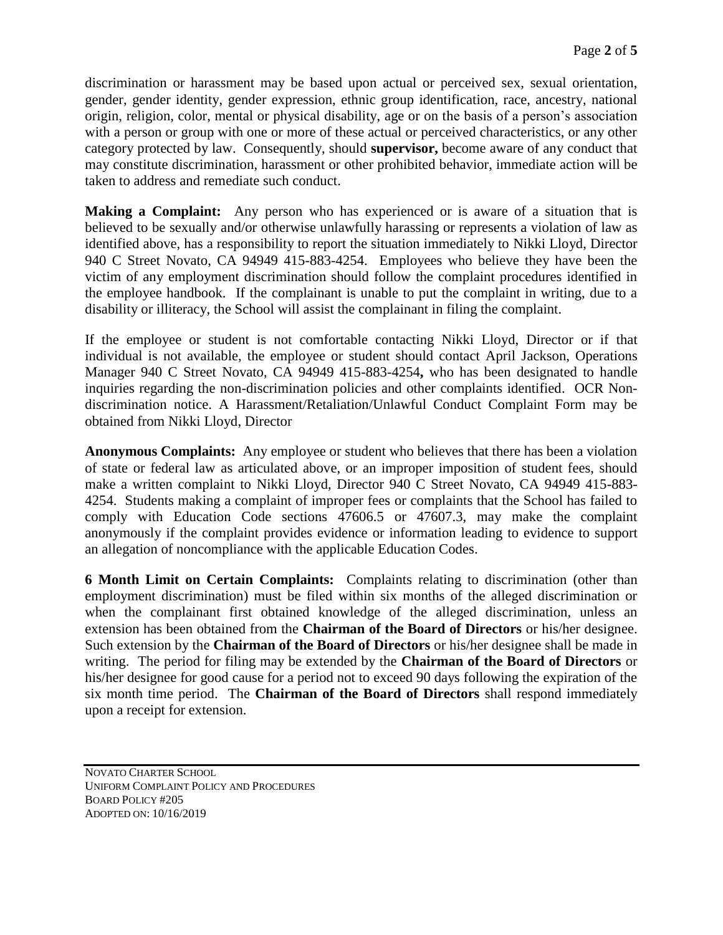discrimination or harassment may be based upon actual or perceived sex, sexual orientation, gender, gender identity, gender expression, ethnic group identification, race, ancestry, national origin, religion, color, mental or physical disability, age or on the basis of a person's association with a person or group with one or more of these actual or perceived characteristics, or any other category protected by law. Consequently, should **supervisor,** become aware of any conduct that may constitute discrimination, harassment or other prohibited behavior, immediate action will be taken to address and remediate such conduct.

**Making a Complaint:** Any person who has experienced or is aware of a situation that is believed to be sexually and/or otherwise unlawfully harassing or represents a violation of law as identified above, has a responsibility to report the situation immediately to Nikki Lloyd, Director 940 C Street Novato, CA 94949 415-883-4254. Employees who believe they have been the victim of any employment discrimination should follow the complaint procedures identified in the employee handbook. If the complainant is unable to put the complaint in writing, due to a disability or illiteracy, the School will assist the complainant in filing the complaint.

If the employee or student is not comfortable contacting Nikki Lloyd, Director or if that individual is not available, the employee or student should contact April Jackson, Operations Manager 940 C Street Novato, CA 94949 415-883-4254**,** who has been designated to handle inquiries regarding the non-discrimination policies and other complaints identified. OCR Nondiscrimination notice. A Harassment/Retaliation/Unlawful Conduct Complaint Form may be obtained from Nikki Lloyd, Director

**Anonymous Complaints:** Any employee or student who believes that there has been a violation of state or federal law as articulated above, or an improper imposition of student fees, should make a written complaint to Nikki Lloyd, Director 940 C Street Novato, CA 94949 415-883- 4254. Students making a complaint of improper fees or complaints that the School has failed to comply with Education Code sections 47606.5 or 47607.3, may make the complaint anonymously if the complaint provides evidence or information leading to evidence to support an allegation of noncompliance with the applicable Education Codes.

**6 Month Limit on Certain Complaints:** Complaints relating to discrimination (other than employment discrimination) must be filed within six months of the alleged discrimination or when the complainant first obtained knowledge of the alleged discrimination, unless an extension has been obtained from the **Chairman of the Board of Directors** or his/her designee. Such extension by the **Chairman of the Board of Directors** or his/her designee shall be made in writing. The period for filing may be extended by the **Chairman of the Board of Directors** or his/her designee for good cause for a period not to exceed 90 days following the expiration of the six month time period. The **Chairman of the Board of Directors** shall respond immediately upon a receipt for extension.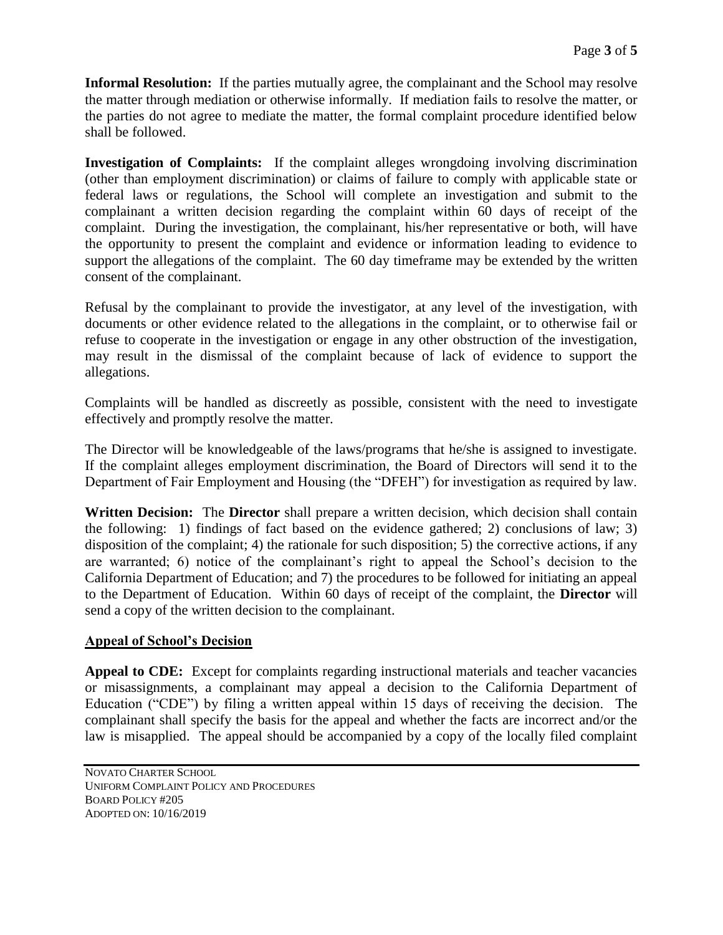**Informal Resolution:** If the parties mutually agree, the complainant and the School may resolve the matter through mediation or otherwise informally. If mediation fails to resolve the matter, or the parties do not agree to mediate the matter, the formal complaint procedure identified below shall be followed.

**Investigation of Complaints:** If the complaint alleges wrongdoing involving discrimination (other than employment discrimination) or claims of failure to comply with applicable state or federal laws or regulations, the School will complete an investigation and submit to the complainant a written decision regarding the complaint within 60 days of receipt of the complaint. During the investigation, the complainant, his/her representative or both, will have the opportunity to present the complaint and evidence or information leading to evidence to support the allegations of the complaint. The 60 day timeframe may be extended by the written consent of the complainant.

Refusal by the complainant to provide the investigator, at any level of the investigation, with documents or other evidence related to the allegations in the complaint, or to otherwise fail or refuse to cooperate in the investigation or engage in any other obstruction of the investigation, may result in the dismissal of the complaint because of lack of evidence to support the allegations.

Complaints will be handled as discreetly as possible, consistent with the need to investigate effectively and promptly resolve the matter.

The Director will be knowledgeable of the laws/programs that he/she is assigned to investigate. If the complaint alleges employment discrimination, the Board of Directors will send it to the Department of Fair Employment and Housing (the "DFEH") for investigation as required by law.

**Written Decision:** The **Director** shall prepare a written decision, which decision shall contain the following: 1) findings of fact based on the evidence gathered; 2) conclusions of law; 3) disposition of the complaint; 4) the rationale for such disposition; 5) the corrective actions, if any are warranted; 6) notice of the complainant's right to appeal the School's decision to the California Department of Education; and 7) the procedures to be followed for initiating an appeal to the Department of Education. Within 60 days of receipt of the complaint, the **Director** will send a copy of the written decision to the complainant.

## **Appeal of School's Decision**

**Appeal to CDE:** Except for complaints regarding instructional materials and teacher vacancies or misassignments, a complainant may appeal a decision to the California Department of Education ("CDE") by filing a written appeal within 15 days of receiving the decision. The complainant shall specify the basis for the appeal and whether the facts are incorrect and/or the law is misapplied. The appeal should be accompanied by a copy of the locally filed complaint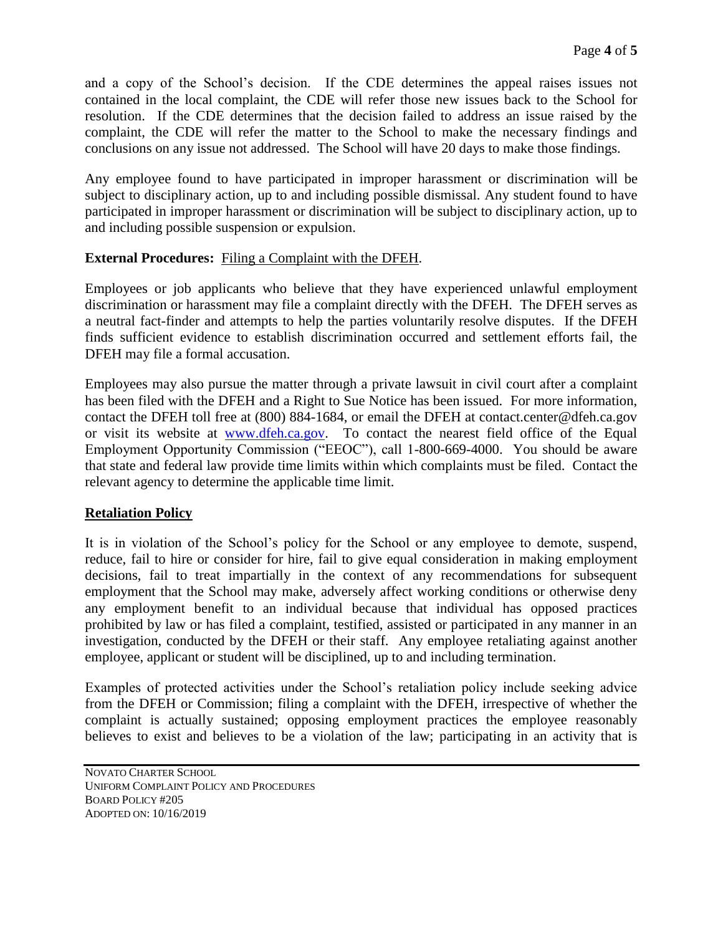and a copy of the School's decision. If the CDE determines the appeal raises issues not contained in the local complaint, the CDE will refer those new issues back to the School for resolution. If the CDE determines that the decision failed to address an issue raised by the complaint, the CDE will refer the matter to the School to make the necessary findings and conclusions on any issue not addressed. The School will have 20 days to make those findings.

Any employee found to have participated in improper harassment or discrimination will be subject to disciplinary action, up to and including possible dismissal. Any student found to have participated in improper harassment or discrimination will be subject to disciplinary action, up to and including possible suspension or expulsion.

## **External Procedures:** Filing a Complaint with the DFEH.

Employees or job applicants who believe that they have experienced unlawful employment discrimination or harassment may file a complaint directly with the DFEH. The DFEH serves as a neutral fact-finder and attempts to help the parties voluntarily resolve disputes. If the DFEH finds sufficient evidence to establish discrimination occurred and settlement efforts fail, the DFEH may file a formal accusation.

Employees may also pursue the matter through a private lawsuit in civil court after a complaint has been filed with the DFEH and a Right to Sue Notice has been issued. For more information, contact the DFEH toll free at (800) 884-1684, or email the DFEH at contact.center@dfeh.ca.gov or visit its website at [www.dfeh.ca.gov.](http://www.dfeh.ca.gov/) To contact the nearest field office of the Equal Employment Opportunity Commission ("EEOC"), call 1-800-669-4000. You should be aware that state and federal law provide time limits within which complaints must be filed. Contact the relevant agency to determine the applicable time limit.

# **Retaliation Policy**

It is in violation of the School's policy for the School or any employee to demote, suspend, reduce, fail to hire or consider for hire, fail to give equal consideration in making employment decisions, fail to treat impartially in the context of any recommendations for subsequent employment that the School may make, adversely affect working conditions or otherwise deny any employment benefit to an individual because that individual has opposed practices prohibited by law or has filed a complaint, testified, assisted or participated in any manner in an investigation, conducted by the DFEH or their staff. Any employee retaliating against another employee, applicant or student will be disciplined, up to and including termination.

Examples of protected activities under the School's retaliation policy include seeking advice from the DFEH or Commission; filing a complaint with the DFEH, irrespective of whether the complaint is actually sustained; opposing employment practices the employee reasonably believes to exist and believes to be a violation of the law; participating in an activity that is